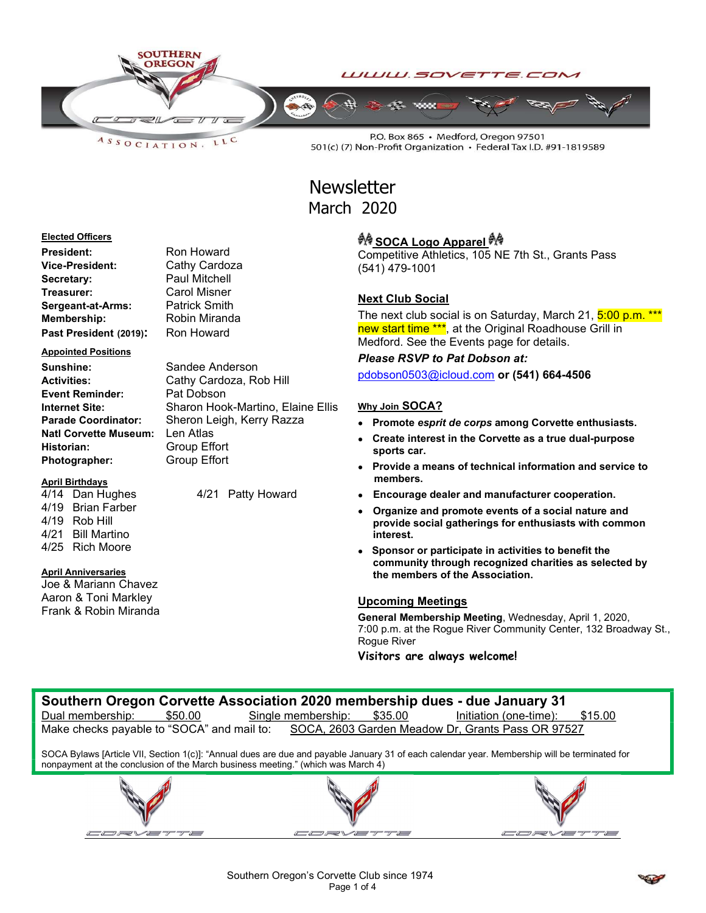

LLC  $A S S O C I AT I O N.$ 

 $\overline{\phantom{0}}$ 

W e të

P.O. Box 865 · Medford, Oregon 97501 501(c) (7) Non-Profit Organization · Federal Tax I.D. #91-1819589

## **Newsletter** March 2020

### Elected Officers

| President:             | Ron Howard           |
|------------------------|----------------------|
| Vice-President:        | Cathy Cardoza        |
| Secretary:             | Paul Mitchell        |
| Treasurer:             | <b>Carol Misner</b>  |
| Sergeant-at-Arms:      | <b>Patrick Smith</b> |
| Membership:            | Robin Miranda        |
| Past President (2019): | Ron Howard           |

### Appointed Positions

Sunshine: Sandee Anderson Event Reminder: Pat Dobson Natl Corvette Museum: Len Atlas Historian: Group Effort Photographer: Group Effort

Activities: Cathy Cardoza, Rob Hill Internet Site: Sharon Hook-Martino, Elaine Ellis Parade Coordinator: Sheron Leigh, Kerry Razza

## April Birthdays

4/14 Dan Hughes 4/21 Patty Howard 4/19 Brian Farber 4/19 Rob Hill 4/21 Bill Martino 4/25 Rich Moore

## April Anniversaries

Joe & Mariann Chavez Aaron & Toni Markley Frank & Robin Miranda

# *<sup>ইা</sup>ই* SOCA Logo Apparel <sup>*ইাই*</sup>

Competitive Athletics, 105 NE 7th St., Grants Pass (541) 479-1001

## Next Club Social

The next club social is on Saturday, March 21, 5:00 p.m. \*\*\* new start time \*\*\*, at the Original Roadhouse Grill in Medford. See the Events page for details.

## Please RSVP to Pat Dobson at:

pdobson0503@icloud.com or (541) 664-4506

## Why Join **SOCA?**

- Promote esprit de corps among Corvette enthusiasts.
- Create interest in the Corvette as a true dual-purpose sports car.
- Provide a means of technical information and service to members.
- Encourage dealer and manufacturer cooperation.
- Organize and promote events of a social nature and provide social gatherings for enthusiasts with common interest.
- Sponsor or participate in activities to benefit the community through recognized charities as selected by the members of the Association.

## Upcoming Meetings

General Membership Meeting, Wednesday, April 1, 2020, 7:00 p.m. at the Rogue River Community Center, 132 Broadway St., Rogue River

₽Æ

Visitors are always welcome!

| Southern Oregon Corvette Association 2020 membership dues - due January 31                                                                                                                                                        |                            |                                   |  |  |  |  |  |  |
|-----------------------------------------------------------------------------------------------------------------------------------------------------------------------------------------------------------------------------------|----------------------------|-----------------------------------|--|--|--|--|--|--|
| Dual membership:<br>\$50.00                                                                                                                                                                                                       | Single membership: \$35.00 | Initiation (one-time):<br>\$15.00 |  |  |  |  |  |  |
| Make checks payable to "SOCA" and mail to: SOCA, 2603 Garden Meadow Dr, Grants Pass OR 97527                                                                                                                                      |                            |                                   |  |  |  |  |  |  |
| SOCA Bylaws [Article VII, Section 1(c)]: "Annual dues are due and payable January 31 of each calendar year. Membership will be terminated for<br>nonpayment at the conclusion of the March business meeting." (which was March 4) |                            |                                   |  |  |  |  |  |  |
|                                                                                                                                                                                                                                   |                            |                                   |  |  |  |  |  |  |
|                                                                                                                                                                                                                                   |                            |                                   |  |  |  |  |  |  |



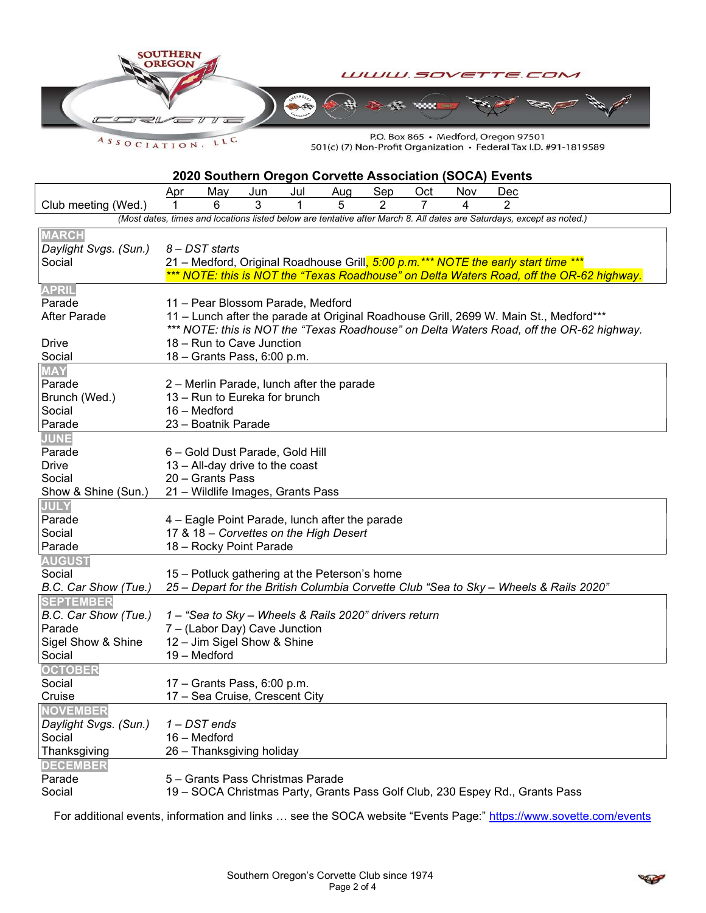

ASSOCIATION. LLC

P.O. Box 865 · Medford, Oregon 97501 501(c) (7) Non-Profit Organization • Federal Tax I.D. #91-1819589

| 2020 Southern Oregon Corvette Association (SOCA) Events |                                                                                                                                                                                |                                   |     |     |                                                |     |     |     |                                                                              |                                                                                          |
|---------------------------------------------------------|--------------------------------------------------------------------------------------------------------------------------------------------------------------------------------|-----------------------------------|-----|-----|------------------------------------------------|-----|-----|-----|------------------------------------------------------------------------------|------------------------------------------------------------------------------------------|
|                                                         | <u>Apr</u>                                                                                                                                                                     | May                               | Jun | Jul | Aug                                            | Sep | Oct | Nov | Dec                                                                          |                                                                                          |
| Club meeting (Wed.)                                     | 1                                                                                                                                                                              | 6                                 | 3   | 1   | 5                                              | 2   | 7   | 4   | 2                                                                            |                                                                                          |
|                                                         | (Most dates, times and locations listed below are tentative after March 8. All dates are Saturdays, except as noted.)                                                          |                                   |     |     |                                                |     |     |     |                                                                              |                                                                                          |
| <b>MARCH</b>                                            |                                                                                                                                                                                |                                   |     |     |                                                |     |     |     |                                                                              |                                                                                          |
| Daylight Svgs. (Sun.)                                   |                                                                                                                                                                                | 8 - DST starts                    |     |     |                                                |     |     |     |                                                                              |                                                                                          |
| Social                                                  |                                                                                                                                                                                |                                   |     |     |                                                |     |     |     |                                                                              |                                                                                          |
|                                                         | 21 – Medford, Original Roadhouse Grill, 5:00 p.m.*** NOTE the early start time ***<br>*** NOTE: this is NOT the "Texas Roadhouse" on Delta Waters Road, off the OR-62 highway. |                                   |     |     |                                                |     |     |     |                                                                              |                                                                                          |
| <b>APRIL</b>                                            |                                                                                                                                                                                |                                   |     |     |                                                |     |     |     |                                                                              |                                                                                          |
| Parade                                                  | 11 - Pear Blossom Parade, Medford                                                                                                                                              |                                   |     |     |                                                |     |     |     |                                                                              |                                                                                          |
| <b>After Parade</b>                                     |                                                                                                                                                                                |                                   |     |     |                                                |     |     |     |                                                                              | 11 – Lunch after the parade at Original Roadhouse Grill, 2699 W. Main St., Medford***    |
|                                                         |                                                                                                                                                                                |                                   |     |     |                                                |     |     |     |                                                                              | *** NOTE: this is NOT the "Texas Roadhouse" on Delta Waters Road, off the OR-62 highway. |
| Drive                                                   |                                                                                                                                                                                | 18 - Run to Cave Junction         |     |     |                                                |     |     |     |                                                                              |                                                                                          |
| Social                                                  |                                                                                                                                                                                | 18 - Grants Pass, 6:00 p.m.       |     |     |                                                |     |     |     |                                                                              |                                                                                          |
| <b>MAY</b>                                              |                                                                                                                                                                                |                                   |     |     |                                                |     |     |     |                                                                              |                                                                                          |
| Parade                                                  | 2 – Merlin Parade, lunch after the parade                                                                                                                                      |                                   |     |     |                                                |     |     |     |                                                                              |                                                                                          |
| Brunch (Wed.)                                           |                                                                                                                                                                                | 13 - Run to Eureka for brunch     |     |     |                                                |     |     |     |                                                                              |                                                                                          |
| Social                                                  |                                                                                                                                                                                | 16 - Medford                      |     |     |                                                |     |     |     |                                                                              |                                                                                          |
| Parade                                                  |                                                                                                                                                                                | 23 - Boatnik Parade               |     |     |                                                |     |     |     |                                                                              |                                                                                          |
| <b>JUNE</b>                                             |                                                                                                                                                                                |                                   |     |     |                                                |     |     |     |                                                                              |                                                                                          |
| Parade                                                  |                                                                                                                                                                                | 6 - Gold Dust Parade, Gold Hill   |     |     |                                                |     |     |     |                                                                              |                                                                                          |
| <b>Drive</b>                                            |                                                                                                                                                                                | 13 - All-day drive to the coast   |     |     |                                                |     |     |     |                                                                              |                                                                                          |
| Social                                                  |                                                                                                                                                                                | 20 - Grants Pass                  |     |     |                                                |     |     |     |                                                                              |                                                                                          |
| Show & Shine (Sun.)                                     |                                                                                                                                                                                | 21 - Wildlife Images, Grants Pass |     |     |                                                |     |     |     |                                                                              |                                                                                          |
| <b>JULY</b>                                             |                                                                                                                                                                                |                                   |     |     |                                                |     |     |     |                                                                              |                                                                                          |
| Parade                                                  |                                                                                                                                                                                |                                   |     |     | 4 - Eagle Point Parade, lunch after the parade |     |     |     |                                                                              |                                                                                          |
| Social                                                  |                                                                                                                                                                                |                                   |     |     | 17 & 18 - Corvettes on the High Desert         |     |     |     |                                                                              |                                                                                          |
| Parade                                                  |                                                                                                                                                                                | 18 - Rocky Point Parade           |     |     |                                                |     |     |     |                                                                              |                                                                                          |
| <b>AUGUST</b>                                           |                                                                                                                                                                                |                                   |     |     |                                                |     |     |     |                                                                              |                                                                                          |
| Social                                                  |                                                                                                                                                                                |                                   |     |     | 15 - Potluck gathering at the Peterson's home  |     |     |     |                                                                              |                                                                                          |
| B.C. Car Show (Tue.)                                    | 25 – Depart for the British Columbia Corvette Club "Sea to Sky – Wheels & Rails 2020"                                                                                          |                                   |     |     |                                                |     |     |     |                                                                              |                                                                                          |
| <b>SEPTEMBER</b>                                        |                                                                                                                                                                                |                                   |     |     |                                                |     |     |     |                                                                              |                                                                                          |
| B.C. Car Show (Tue.)                                    | 1 - "Sea to Sky - Wheels & Rails 2020" drivers return                                                                                                                          |                                   |     |     |                                                |     |     |     |                                                                              |                                                                                          |
| Parade                                                  |                                                                                                                                                                                | 7 - (Labor Day) Cave Junction     |     |     |                                                |     |     |     |                                                                              |                                                                                          |
| Sigel Show & Shine                                      |                                                                                                                                                                                | 12 - Jim Sigel Show & Shine       |     |     |                                                |     |     |     |                                                                              |                                                                                          |
| Social                                                  |                                                                                                                                                                                | 19 - Medford                      |     |     |                                                |     |     |     |                                                                              |                                                                                          |
| <b>OCTOBER</b>                                          |                                                                                                                                                                                |                                   |     |     |                                                |     |     |     |                                                                              |                                                                                          |
| Social                                                  |                                                                                                                                                                                | 17 - Grants Pass, 6:00 p.m.       |     |     |                                                |     |     |     |                                                                              |                                                                                          |
| Cruise                                                  |                                                                                                                                                                                | 17 - Sea Cruise, Crescent City    |     |     |                                                |     |     |     |                                                                              |                                                                                          |
| <b>NOVEMBER</b>                                         |                                                                                                                                                                                |                                   |     |     |                                                |     |     |     |                                                                              |                                                                                          |
| Daylight Svgs. (Sun.)                                   |                                                                                                                                                                                | $1 - DST$ ends                    |     |     |                                                |     |     |     |                                                                              |                                                                                          |
| Social                                                  |                                                                                                                                                                                | 16 - Medford                      |     |     |                                                |     |     |     |                                                                              |                                                                                          |
| Thanksgiving                                            |                                                                                                                                                                                | 26 - Thanksgiving holiday         |     |     |                                                |     |     |     |                                                                              |                                                                                          |
| <b>DECEMBER</b>                                         |                                                                                                                                                                                |                                   |     |     |                                                |     |     |     |                                                                              |                                                                                          |
| Parade                                                  |                                                                                                                                                                                | 5 - Grants Pass Christmas Parade  |     |     |                                                |     |     |     |                                                                              |                                                                                          |
| Social                                                  |                                                                                                                                                                                |                                   |     |     |                                                |     |     |     | 19 - SOCA Christmas Party, Grants Pass Golf Club, 230 Espey Rd., Grants Pass |                                                                                          |

For additional events, information and links ... see the SOCA website "Events Page:" https://www.sovette.com/events

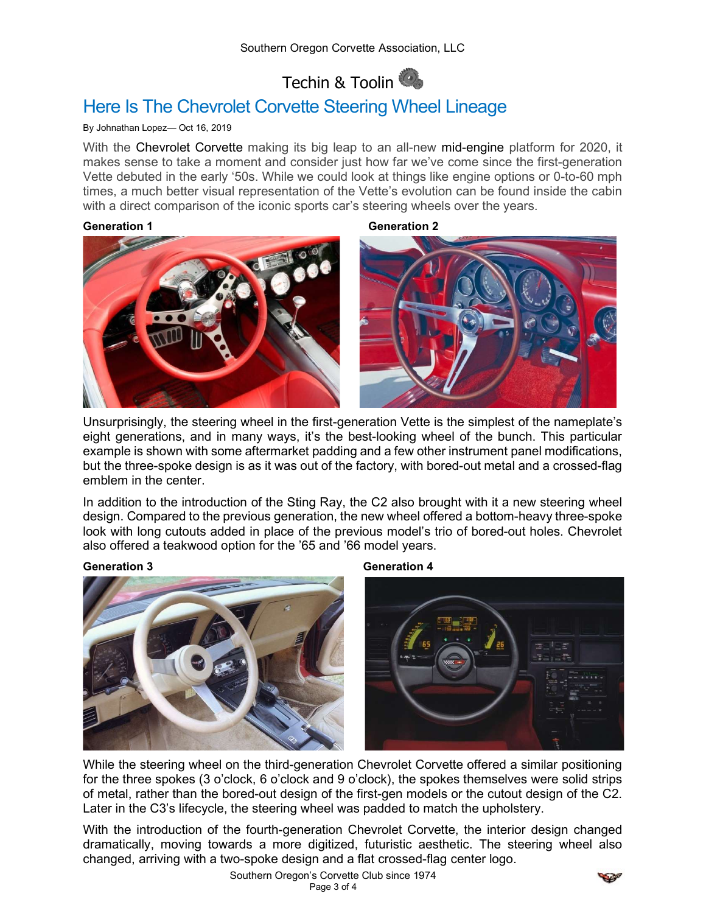## Techin & Toolin

## Here Is The Chevrolet Corvette Steering Wheel Lineage

## By Johnathan Lopez— Oct 16, 2019

With the Chevrolet Corvette making its big leap to an all-new mid-engine platform for 2020, it makes sense to take a moment and consider just how far we've come since the first-generation Vette debuted in the early '50s. While we could look at things like engine options or 0-to-60 mph times, a much better visual representation of the Vette's evolution can be found inside the cabin with a direct comparison of the iconic sports car's steering wheels over the years.

Generation 1 Generation 2



Unsurprisingly, the steering wheel in the first-generation Vette is the simplest of the nameplate's eight generations, and in many ways, it's the best-looking wheel of the bunch. This particular example is shown with some aftermarket padding and a few other instrument panel modifications, but the three-spoke design is as it was out of the factory, with bored-out metal and a crossed-flag emblem in the center.

In addition to the introduction of the Sting Ray, the C2 also brought with it a new steering wheel design. Compared to the previous generation, the new wheel offered a bottom-heavy three-spoke look with long cutouts added in place of the previous model's trio of bored-out holes. Chevrolet also offered a teakwood option for the '65 and '66 model years.

## Generation 3 Generation 4





While the steering wheel on the third-generation Chevrolet Corvette offered a similar positioning for the three spokes (3 o'clock, 6 o'clock and 9 o'clock), the spokes themselves were solid strips of metal, rather than the bored-out design of the first-gen models or the cutout design of the C2. Later in the C3's lifecycle, the steering wheel was padded to match the upholstery.

With the introduction of the fourth-generation Chevrolet Corvette, the interior design changed dramatically, moving towards a more digitized, futuristic aesthetic. The steering wheel also changed, arriving with a two-spoke design and a flat crossed-flag center logo.